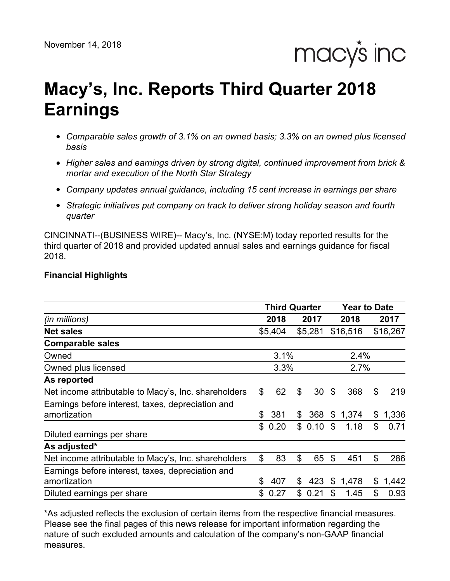macy's inc

# **Macy's, Inc. Reports Third Quarter 2018 Earnings**

- *Comparable sales growth of 3.1% on an owned basis; 3.3% on an owned plus licensed basis*
- *Higher sales and earnings driven by strong digital, continued improvement from brick & mortar and execution of the North Star Strategy*
- *Company updates annual guidance, including 15 cent increase in earnings per share*
- *Strategic initiatives put company on track to deliver strong holiday season and fourth quarter*

CINCINNATI--(BUSINESS WIRE)-- Macy's, Inc. (NYSE:M) today reported results for the third quarter of 2018 and provided updated annual sales and earnings guidance for fiscal 2018.

# **Financial Highlights**

|                                                                   | <b>Third Quarter</b> |         |              |         | <b>Year to Date</b> |          |    |          |
|-------------------------------------------------------------------|----------------------|---------|--------------|---------|---------------------|----------|----|----------|
| (in millions)                                                     |                      | 2018    |              | 2017    |                     | 2018     |    | 2017     |
| <b>Net sales</b>                                                  |                      | \$5,404 |              | \$5,281 |                     | \$16,516 |    | \$16,267 |
| <b>Comparable sales</b>                                           |                      |         |              |         |                     |          |    |          |
| Owned                                                             |                      | 3.1%    |              |         |                     | 2.4%     |    |          |
| Owned plus licensed                                               |                      | 3.3%    |              |         |                     | 2.7%     |    |          |
| As reported                                                       |                      |         |              |         |                     |          |    |          |
| Net income attributable to Macy's, Inc. shareholders              | \$                   | 62      | \$           | 30      | \$                  | 368      | \$ | 219      |
| Earnings before interest, taxes, depreciation and<br>amortization | \$                   | 381     | \$           | 368     |                     | \$1,374  | \$ | 1,336    |
|                                                                   | \$                   | 0.20    |              | \$0.10  | \$                  | 1.18     | \$ | 0.71     |
| Diluted earnings per share                                        |                      |         |              |         |                     |          |    |          |
| As adjusted*                                                      |                      |         |              |         |                     |          |    |          |
| Net income attributable to Macy's, Inc. shareholders              | \$                   | 83      | \$           | 65      | \$                  | 451      | \$ | 286      |
| Earnings before interest, taxes, depreciation and                 |                      |         |              |         |                     |          |    |          |
| amortization                                                      | \$                   | 407     | \$           | 423     | \$                  | 1,478    | \$ | 1,442    |
| Diluted earnings per share                                        | \$                   | 0.27    | $\mathbb{S}$ | 0.21    | \$                  | 1.45     | \$ | 0.93     |

\*As adjusted reflects the exclusion of certain items from the respective financial measures. Please see the final pages of this news release for important information regarding the nature of such excluded amounts and calculation of the company's non-GAAP financial measures.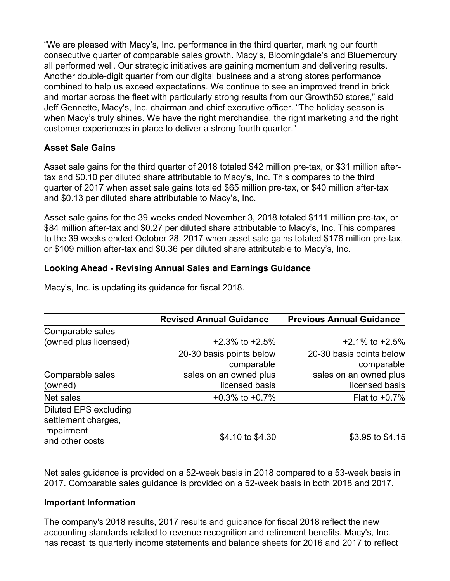"We are pleased with Macy's, Inc. performance in the third quarter, marking our fourth consecutive quarter of comparable sales growth. Macy's, Bloomingdale's and Bluemercury all performed well. Our strategic initiatives are gaining momentum and delivering results. Another double-digit quarter from our digital business and a strong stores performance combined to help us exceed expectations. We continue to see an improved trend in brick and mortar across the fleet with particularly strong results from our Growth50 stores," said Jeff Gennette, Macy's, Inc. chairman and chief executive officer. "The holiday season is when Macy's truly shines. We have the right merchandise, the right marketing and the right customer experiences in place to deliver a strong fourth quarter."

#### **Asset Sale Gains**

Asset sale gains for the third quarter of 2018 totaled \$42 million pre-tax, or \$31 million aftertax and \$0.10 per diluted share attributable to Macy's, Inc. This compares to the third quarter of 2017 when asset sale gains totaled \$65 million pre-tax, or \$40 million after-tax and \$0.13 per diluted share attributable to Macy's, Inc.

Asset sale gains for the 39 weeks ended November 3, 2018 totaled \$111 million pre-tax, or \$84 million after-tax and \$0.27 per diluted share attributable to Macy's, Inc. This compares to the 39 weeks ended October 28, 2017 when asset sale gains totaled \$176 million pre-tax, or \$109 million after-tax and \$0.36 per diluted share attributable to Macy's, Inc.

#### **Looking Ahead - Revising Annual Sales and Earnings Guidance**

|                                                            | <b>Revised Annual Guidance</b>           | <b>Previous Annual Guidance</b>          |
|------------------------------------------------------------|------------------------------------------|------------------------------------------|
| Comparable sales                                           |                                          |                                          |
| (owned plus licensed)                                      | $+2.3\%$ to $+2.5\%$                     | $+2.1\%$ to $+2.5\%$                     |
|                                                            | 20-30 basis points below<br>comparable   | 20-30 basis points below<br>comparable   |
| Comparable sales<br>(owned)                                | sales on an owned plus<br>licensed basis | sales on an owned plus<br>licensed basis |
| Net sales                                                  | $+0.3\%$ to $+0.7\%$                     | Flat to $+0.7\%$                         |
| Diluted EPS excluding<br>settlement charges,<br>impairment |                                          |                                          |
| and other costs                                            | \$4.10 to \$4.30                         | \$3.95 to \$4.15                         |

Macy's, Inc. is updating its guidance for fiscal 2018.

Net sales guidance is provided on a 52-week basis in 2018 compared to a 53-week basis in 2017. Comparable sales guidance is provided on a 52-week basis in both 2018 and 2017.

#### **Important Information**

The company's 2018 results, 2017 results and guidance for fiscal 2018 reflect the new accounting standards related to revenue recognition and retirement benefits. Macy's, Inc. has recast its quarterly income statements and balance sheets for 2016 and 2017 to reflect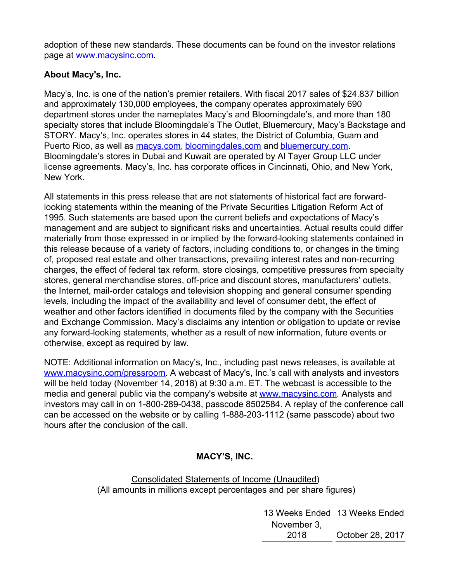adoption of these new standards. These documents can be found on the investor relations page at [www.macysinc.com](http://www.macysinc.com).

# **About Macy's, Inc.**

Macy's, Inc. is one of the nation's premier retailers. With fiscal 2017 sales of \$24.837 billion and approximately 130,000 employees, the company operates approximately 690 department stores under the nameplates Macy's and Bloomingdale's, and more than 180 specialty stores that include Bloomingdale's The Outlet, Bluemercury, Macy's Backstage and STORY. Macy's, Inc. operates stores in 44 states, the District of Columbia, Guam and Puerto Rico, as well as [macys.com](http://macys.com), [bloomingdales.com](http://bloomingdales.com) and [bluemercury.com](http://bluemercury.com). Bloomingdale's stores in Dubai and Kuwait are operated by Al Tayer Group LLC under license agreements. Macy's, Inc. has corporate offices in Cincinnati, Ohio, and New York, New York.

All statements in this press release that are not statements of historical fact are forwardlooking statements within the meaning of the Private Securities Litigation Reform Act of 1995. Such statements are based upon the current beliefs and expectations of Macy's management and are subject to significant risks and uncertainties. Actual results could differ materially from those expressed in or implied by the forward-looking statements contained in this release because of a variety of factors, including conditions to, or changes in the timing of, proposed real estate and other transactions, prevailing interest rates and non-recurring charges, the effect of federal tax reform, store closings, competitive pressures from specialty stores, general merchandise stores, off-price and discount stores, manufacturers' outlets, the Internet, mail-order catalogs and television shopping and general consumer spending levels, including the impact of the availability and level of consumer debt, the effect of weather and other factors identified in documents filed by the company with the Securities and Exchange Commission. Macy's disclaims any intention or obligation to update or revise any forward-looking statements, whether as a result of new information, future events or otherwise, except as required by law.

NOTE: Additional information on Macy's, Inc., including past news releases, is available at [www.macysinc.com/pressroom](http://www.macysinc.com/pressroom). A webcast of Macy's, Inc.'s call with analysts and investors will be held today (November 14, 2018) at 9:30 a.m. ET. The webcast is accessible to the media and general public via the company's website at [www.macysinc.com](http://www.macysinc.com). Analysts and investors may call in on 1-800-289-0438, passcode 8502584. A replay of the conference call can be accessed on the website or by calling 1-888-203-1112 (same passcode) about two hours after the conclusion of the call.

# **MACY'S, INC.**

Consolidated Statements of Income (Unaudited) (All amounts in millions except percentages and per share figures)

> 13 Weeks Ended 13 Weeks Ended November 3, 2018 October 28, 2017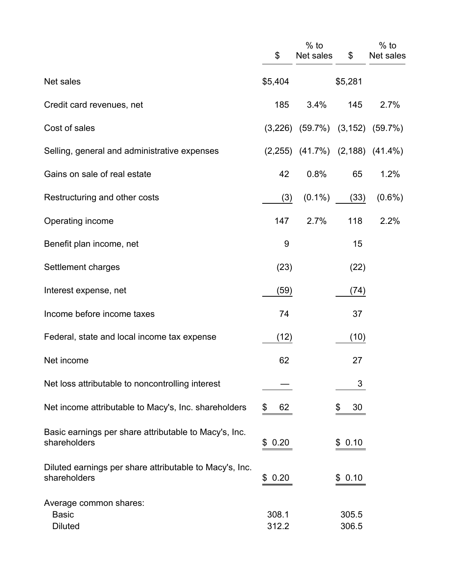|                                                                         | \$             | $%$ to<br>Net sales                       | \$             | $%$ to<br>Net sales |
|-------------------------------------------------------------------------|----------------|-------------------------------------------|----------------|---------------------|
| Net sales                                                               | \$5,404        |                                           | \$5,281        |                     |
| Credit card revenues, net                                               | 185            | 3.4%                                      | 145            | 2.7%                |
| Cost of sales                                                           |                | $(3,226)$ $(59.7\%)$ $(3,152)$ $(59.7\%)$ |                |                     |
| Selling, general and administrative expenses                            |                | $(2,255)$ $(41.7\%)$ $(2,188)$ $(41.4\%)$ |                |                     |
| Gains on sale of real estate                                            | 42             | 0.8%                                      | 65             | 1.2%                |
| Restructuring and other costs                                           | (3)            | $(0.1\%)$                                 | (33)           | $(0.6\%)$           |
| Operating income                                                        | 147            | 2.7%                                      | 118            | 2.2%                |
| Benefit plan income, net                                                | 9              |                                           | 15             |                     |
| Settlement charges                                                      | (23)           |                                           | (22)           |                     |
| Interest expense, net                                                   | (59)           |                                           | (74)           |                     |
| Income before income taxes                                              | 74             |                                           | 37             |                     |
| Federal, state and local income tax expense                             | (12)           |                                           | (10)           |                     |
| Net income                                                              | 62             |                                           | 27             |                     |
| Net loss attributable to noncontrolling interest                        |                |                                           | 3              |                     |
| Net income attributable to Macy's, Inc. shareholders                    | \$<br>62       |                                           | 30             |                     |
| Basic earnings per share attributable to Macy's, Inc.<br>shareholders   | 0.20<br>\$     |                                           | \$ 0.10        |                     |
| Diluted earnings per share attributable to Macy's, Inc.<br>shareholders | 0.20<br>\$     |                                           | 0.10<br>\$     |                     |
| Average common shares:<br><b>Basic</b><br><b>Diluted</b>                | 308.1<br>312.2 |                                           | 305.5<br>306.5 |                     |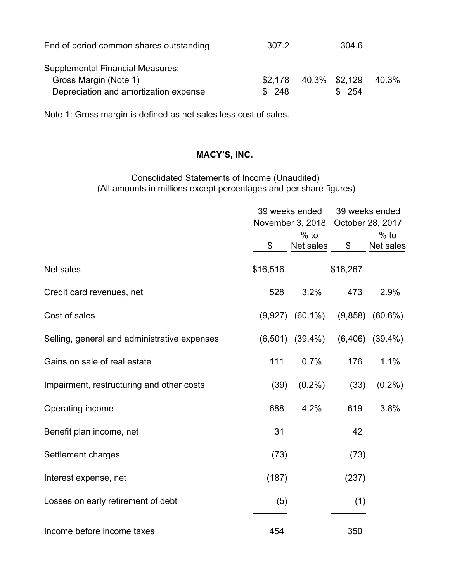| End of period common shares outstanding | 307.2   | 304.6         |       |
|-----------------------------------------|---------|---------------|-------|
| <b>Supplemental Financial Measures:</b> |         |               |       |
| Gross Margin (Note 1)                   | \$2,178 | 40.3% \$2,129 | 40.3% |
| Depreciation and amortization expense   | \$248   | \$254         |       |

Note 1: Gross margin is defined as net sales less cost of sales.

# **MACY'S, INC.**

# Consolidated Statements of Income (Unaudited) (All amounts in millions except percentages and per share figures)

|                                              |          | 39 weeks ended<br>November 3, 2018 | 39 weeks ended<br>October 28, 2017 |                      |  |
|----------------------------------------------|----------|------------------------------------|------------------------------------|----------------------|--|
|                                              | \$       | $%$ to<br>Net sales                | \$                                 | $%$ to<br>Net sales  |  |
| Net sales                                    | \$16,516 |                                    | \$16,267                           |                      |  |
| Credit card revenues, net                    | 528      | 3.2%                               | 473                                | 2.9%                 |  |
| Cost of sales                                | (9,927)  | $(60.1\%)$                         | (9,858)                            | $(60.6\%)$           |  |
| Selling, general and administrative expenses |          | $(6,501)$ $(39.4\%)$               |                                    | $(6,406)$ $(39.4\%)$ |  |
| Gains on sale of real estate                 | 111      | 0.7%                               | 176                                | 1.1%                 |  |
| Impairment, restructuring and other costs    | (39)     | $(0.2\%)$                          | (33)                               | $(0.2\%)$            |  |
| Operating income                             | 688      | 4.2%                               | 619                                | 3.8%                 |  |
| Benefit plan income, net                     | 31       |                                    | 42                                 |                      |  |
| Settlement charges                           | (73)     |                                    | (73)                               |                      |  |
| Interest expense, net                        | (187)    |                                    | (237)                              |                      |  |
| Losses on early retirement of debt           | (5)      |                                    | (1)                                |                      |  |
| Income before income taxes                   | 454      |                                    | 350                                |                      |  |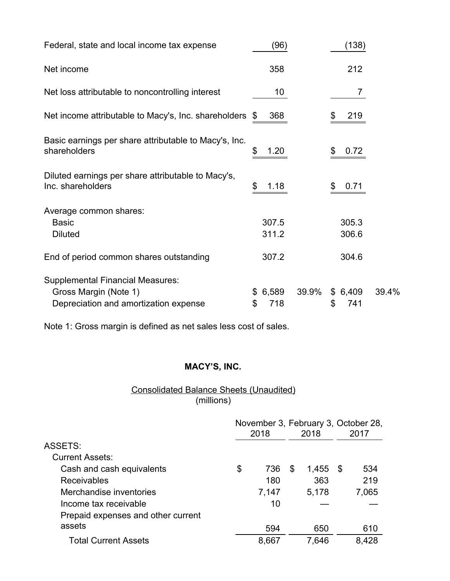| Federal, state and local income tax expense                                                               | (96)                     | (138)                         |       |
|-----------------------------------------------------------------------------------------------------------|--------------------------|-------------------------------|-------|
| Net income                                                                                                | 358                      | 212                           |       |
| Net loss attributable to noncontrolling interest                                                          | 10                       | 7                             |       |
| Net income attributable to Macy's, Inc. shareholders                                                      | 368<br>\$                | 219<br>\$                     |       |
| Basic earnings per share attributable to Macy's, Inc.<br>shareholders                                     | 1.20<br>\$               | \$<br>0.72                    |       |
| Diluted earnings per share attributable to Macy's,<br>Inc. shareholders                                   | \$<br>1.18               | \$<br>0.71                    |       |
| Average common shares:<br><b>Basic</b><br><b>Diluted</b>                                                  | 307.5<br>311.2           | 305.3<br>306.6                |       |
| End of period common shares outstanding                                                                   | 307.2                    | 304.6                         |       |
| <b>Supplemental Financial Measures:</b><br>Gross Margin (Note 1)<br>Depreciation and amortization expense | 6,589<br>\$<br>\$<br>718 | 39.9%<br>\$6,409<br>\$<br>741 | 39.4% |

Note 1: Gross margin is defined as net sales less cost of sales.

# **MACY'S, INC.**

#### Consolidated Balance Sheets (Unaudited) (millions)

|                                    |              |    |       |    | November 3, February 3, October 28, |
|------------------------------------|--------------|----|-------|----|-------------------------------------|
|                                    | 2018<br>2018 |    | 2017  |    |                                     |
| ASSETS:                            |              |    |       |    |                                     |
| <b>Current Assets:</b>             |              |    |       |    |                                     |
| Cash and cash equivalents          | \$<br>736    | \$ | 1,455 | \$ | 534                                 |
| Receivables                        | 180          |    | 363   |    | 219                                 |
| Merchandise inventories            | 7,147        |    | 5,178 |    | 7,065                               |
| Income tax receivable              | 10           |    |       |    |                                     |
| Prepaid expenses and other current |              |    |       |    |                                     |
| assets                             | 594          |    | 650   |    | 610                                 |
| Total Current Assets               | 8,667        |    | 7,646 |    | 8,428                               |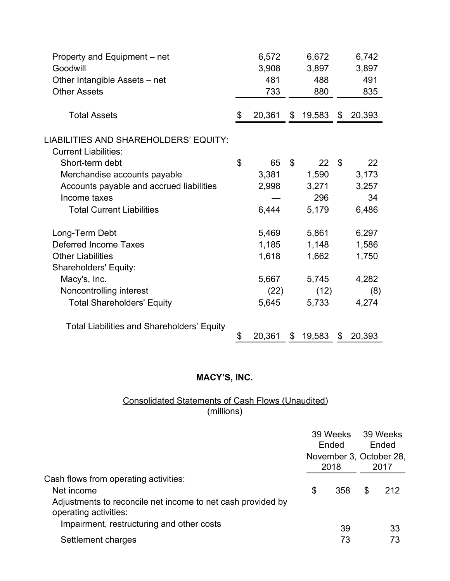| Property and Equipment - net                      |                | 6,572  | 6,672        | 6,742        |
|---------------------------------------------------|----------------|--------|--------------|--------------|
| Goodwill                                          |                | 3,908  | 3,897        | 3,897        |
| Other Intangible Assets - net                     |                | 481    | 488          | 491          |
| <b>Other Assets</b>                               |                | 733    | 880          | 835          |
|                                                   |                |        |              |              |
| <b>Total Assets</b>                               | \$             | 20,361 | \$19,583     | \$<br>20,393 |
| LIABILITIES AND SHAREHOLDERS' EQUITY:             |                |        |              |              |
| <b>Current Liabilities:</b>                       |                |        |              |              |
| Short-term debt                                   | $\mathfrak{L}$ | 65     | \$<br>22     | \$<br>22     |
| Merchandise accounts payable                      |                | 3,381  | 1,590        | 3,173        |
| Accounts payable and accrued liabilities          |                | 2,998  | 3,271        | 3,257        |
| Income taxes                                      |                |        | 296          | 34           |
| <b>Total Current Liabilities</b>                  |                | 6,444  | 5,179        | 6,486        |
| Long-Term Debt                                    |                | 5,469  | 5,861        | 6,297        |
| <b>Deferred Income Taxes</b>                      |                | 1,185  | 1,148        | 1,586        |
| <b>Other Liabilities</b>                          |                | 1,618  | 1,662        | 1,750        |
| Shareholders' Equity:                             |                |        |              |              |
| Macy's, Inc.                                      |                | 5,667  | 5,745        | 4,282        |
| Noncontrolling interest                           |                | (22)   | (12)         | (8)          |
| <b>Total Shareholders' Equity</b>                 |                | 5,645  | 5,733        | 4,274        |
| <b>Total Liabilities and Shareholders' Equity</b> |                |        |              |              |
|                                                   | \$             | 20,361 | \$<br>19,583 | \$<br>20,393 |

# **MACY'S, INC.**

#### Consolidated Statements of Cash Flows (Unaudited) (millions)

|                                                                                      | Ended                           | 39 Weeks 39 Weeks<br>Ended |      |
|--------------------------------------------------------------------------------------|---------------------------------|----------------------------|------|
|                                                                                      | November 3, October 28,<br>2018 |                            | 2017 |
| Cash flows from operating activities:                                                |                                 |                            |      |
| Net income                                                                           | \$<br>358                       | \$                         | 212  |
| Adjustments to reconcile net income to net cash provided by<br>operating activities: |                                 |                            |      |
| Impairment, restructuring and other costs                                            | 39                              |                            | 33   |
| Settlement charges                                                                   | 73                              |                            | 73   |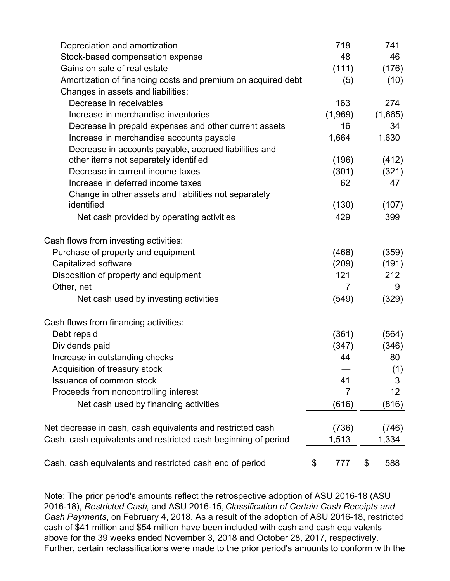| Depreciation and amortization                                  | 718            | 741       |
|----------------------------------------------------------------|----------------|-----------|
| Stock-based compensation expense                               | 48             | 46        |
| Gains on sale of real estate                                   | (111)          | (176)     |
| Amortization of financing costs and premium on acquired debt   | (5)            | (10)      |
| Changes in assets and liabilities:                             |                |           |
| Decrease in receivables                                        | 163            | 274       |
| Increase in merchandise inventories                            | (1,969)        | (1,665)   |
| Decrease in prepaid expenses and other current assets          | 16             | 34        |
| Increase in merchandise accounts payable                       | 1,664          | 1,630     |
| Decrease in accounts payable, accrued liabilities and          |                |           |
| other items not separately identified                          | (196)          | (412)     |
| Decrease in current income taxes                               | (301)          | (321)     |
| Increase in deferred income taxes                              | 62             | 47        |
| Change in other assets and liabilities not separately          |                |           |
| identified                                                     | (130)          | (107)     |
| Net cash provided by operating activities                      | 429            | 399       |
| Cash flows from investing activities:                          |                |           |
| Purchase of property and equipment                             | (468)          | (359)     |
| Capitalized software                                           | (209)          | (191)     |
| Disposition of property and equipment                          | 121            | 212       |
| Other, net                                                     | 7              | 9         |
| Net cash used by investing activities                          | (549)          | (329)     |
| Cash flows from financing activities:                          |                |           |
| Debt repaid                                                    | (361)          | (564)     |
| Dividends paid                                                 | (347)          | (346)     |
| Increase in outstanding checks                                 | 44             | 80        |
| Acquisition of treasury stock                                  |                | (1)       |
| Issuance of common stock                                       | 41             | 3         |
| Proceeds from noncontrolling interest                          | $\overline{7}$ | 12        |
| Net cash used by financing activities                          | (616)          | (816)     |
| Net decrease in cash, cash equivalents and restricted cash     | (736)          | (746)     |
| Cash, cash equivalents and restricted cash beginning of period | 1,513          | 1,334     |
| Cash, cash equivalents and restricted cash end of period       | \$<br>777      | 588<br>\$ |

Note: The prior period's amounts reflect the retrospective adoption of ASU 2016-18 (ASU 2016-18), *Restricted Cash*, and ASU 2016-15, *Classification of Certain Cash Receipts and Cash Payments*, on February 4, 2018. As a result of the adoption of ASU 2016-18, restricted cash of \$41 million and \$54 million have been included with cash and cash equivalents above for the 39 weeks ended November 3, 2018 and October 28, 2017, respectively. Further, certain reclassifications were made to the prior period's amounts to conform with the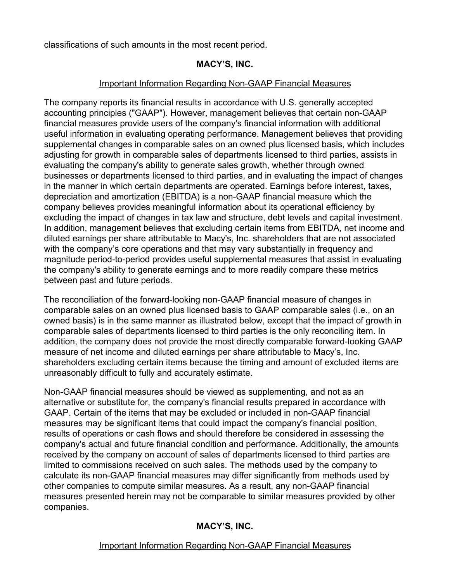classifications of such amounts in the most recent period.

# **MACY'S, INC.**

# Important Information Regarding Non-GAAP Financial Measures

The company reports its financial results in accordance with U.S. generally accepted accounting principles ("GAAP"). However, management believes that certain non-GAAP financial measures provide users of the company's financial information with additional useful information in evaluating operating performance. Management believes that providing supplemental changes in comparable sales on an owned plus licensed basis, which includes adjusting for growth in comparable sales of departments licensed to third parties, assists in evaluating the company's ability to generate sales growth, whether through owned businesses or departments licensed to third parties, and in evaluating the impact of changes in the manner in which certain departments are operated. Earnings before interest, taxes, depreciation and amortization (EBITDA) is a non-GAAP financial measure which the company believes provides meaningful information about its operational efficiency by excluding the impact of changes in tax law and structure, debt levels and capital investment. In addition, management believes that excluding certain items from EBITDA, net income and diluted earnings per share attributable to Macy's, Inc. shareholders that are not associated with the company's core operations and that may vary substantially in frequency and magnitude period-to-period provides useful supplemental measures that assist in evaluating the company's ability to generate earnings and to more readily compare these metrics between past and future periods.

The reconciliation of the forward-looking non-GAAP financial measure of changes in comparable sales on an owned plus licensed basis to GAAP comparable sales (i.e., on an owned basis) is in the same manner as illustrated below, except that the impact of growth in comparable sales of departments licensed to third parties is the only reconciling item. In addition, the company does not provide the most directly comparable forward-looking GAAP measure of net income and diluted earnings per share attributable to Macy's, Inc. shareholders excluding certain items because the timing and amount of excluded items are unreasonably difficult to fully and accurately estimate.

Non-GAAP financial measures should be viewed as supplementing, and not as an alternative or substitute for, the company's financial results prepared in accordance with GAAP. Certain of the items that may be excluded or included in non-GAAP financial measures may be significant items that could impact the company's financial position, results of operations or cash flows and should therefore be considered in assessing the company's actual and future financial condition and performance. Additionally, the amounts received by the company on account of sales of departments licensed to third parties are limited to commissions received on such sales. The methods used by the company to calculate its non-GAAP financial measures may differ significantly from methods used by other companies to compute similar measures. As a result, any non-GAAP financial measures presented herein may not be comparable to similar measures provided by other companies.

# **MACY'S, INC.**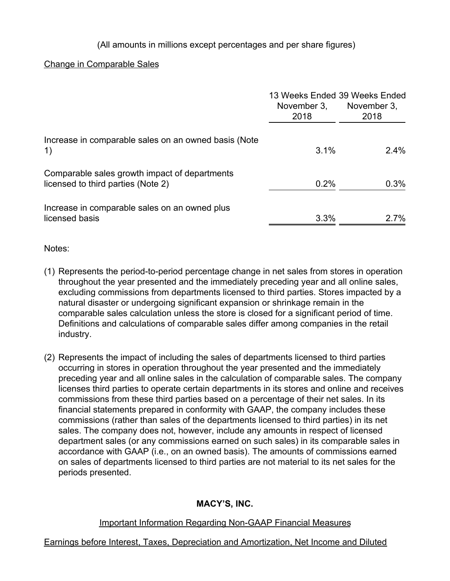# (All amounts in millions except percentages and per share figures)

#### Change in Comparable Sales

|                                                                                     | 13 Weeks Ended 39 Weeks Ended<br>November 3,<br>2018 | November 3,<br>2018 |  |
|-------------------------------------------------------------------------------------|------------------------------------------------------|---------------------|--|
| Increase in comparable sales on an owned basis (Note<br>1)                          | 3.1%                                                 | 2.4%                |  |
| Comparable sales growth impact of departments<br>licensed to third parties (Note 2) | 0.2%                                                 | 0.3%                |  |
| Increase in comparable sales on an owned plus<br>licensed basis                     | 3.3%                                                 | $2.7\%$             |  |

#### Notes:

- (1) Represents the period-to-period percentage change in net sales from stores in operation throughout the year presented and the immediately preceding year and all online sales, excluding commissions from departments licensed to third parties. Stores impacted by a natural disaster or undergoing significant expansion or shrinkage remain in the comparable sales calculation unless the store is closed for a significant period of time. Definitions and calculations of comparable sales differ among companies in the retail industry.
- (2) Represents the impact of including the sales of departments licensed to third parties occurring in stores in operation throughout the year presented and the immediately preceding year and all online sales in the calculation of comparable sales. The company licenses third parties to operate certain departments in its stores and online and receives commissions from these third parties based on a percentage of their net sales. In its financial statements prepared in conformity with GAAP, the company includes these commissions (rather than sales of the departments licensed to third parties) in its net sales. The company does not, however, include any amounts in respect of licensed department sales (or any commissions earned on such sales) in its comparable sales in accordance with GAAP (i.e., on an owned basis). The amounts of commissions earned on sales of departments licensed to third parties are not material to its net sales for the periods presented.

# **MACY'S, INC.**

#### Important Information Regarding Non-GAAP Financial Measures

#### Earnings before Interest, Taxes, Depreciation and Amortization, Net Income and Diluted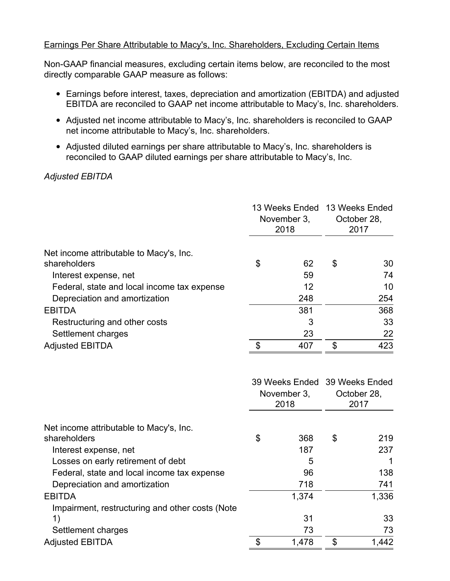#### Earnings Per Share Attributable to Macy's, Inc. Shareholders, Excluding Certain Items

Non-GAAP financial measures, excluding certain items below, are reconciled to the most directly comparable GAAP measure as follows:

- Earnings before interest, taxes, depreciation and amortization (EBITDA) and adjusted EBITDA are reconciled to GAAP net income attributable to Macy's, Inc. shareholders.
- Adjusted net income attributable to Macy's, Inc. shareholders is reconciled to GAAP net income attributable to Macy's, Inc. shareholders.
- Adjusted diluted earnings per share attributable to Macy's, Inc. shareholders is reconciled to GAAP diluted earnings per share attributable to Macy's, Inc.

#### *Adjusted EBITDA*

|                                             |    | 13 Weeks Ended 13 Weeks Ended<br>November 3,<br>2018 | October 28,<br>2017 |     |
|---------------------------------------------|----|------------------------------------------------------|---------------------|-----|
| Net income attributable to Macy's, Inc.     |    |                                                      |                     |     |
| shareholders                                | \$ | 62                                                   | \$                  | 30  |
| Interest expense, net                       |    | 59                                                   |                     | 74  |
| Federal, state and local income tax expense |    | 12                                                   |                     | 10  |
| Depreciation and amortization               |    | 248                                                  |                     | 254 |
| <b>EBITDA</b>                               |    | 381                                                  |                     | 368 |
| Restructuring and other costs               |    | 3                                                    |                     | 33  |
| Settlement charges                          |    | 23                                                   |                     | 22  |
| <b>Adjusted EBITDA</b>                      | c  | 407                                                  | \$.                 | 423 |

|                                                 |    | November 3,<br>2018 | 39 Weeks Ended 39 Weeks Ended<br>October 28,<br>2017 |       |  |
|-------------------------------------------------|----|---------------------|------------------------------------------------------|-------|--|
| Net income attributable to Macy's, Inc.         |    |                     |                                                      |       |  |
| shareholders                                    | \$ | 368                 | \$                                                   | 219   |  |
| Interest expense, net                           |    | 187                 |                                                      | 237   |  |
| Losses on early retirement of debt              |    | 5                   |                                                      |       |  |
| Federal, state and local income tax expense     |    | 96                  |                                                      | 138   |  |
| Depreciation and amortization                   |    | 718                 |                                                      | 741   |  |
| <b>EBITDA</b>                                   |    | 1,374               |                                                      | 1,336 |  |
| Impairment, restructuring and other costs (Note |    |                     |                                                      |       |  |
| 1)                                              |    | 31                  |                                                      | 33    |  |
| Settlement charges                              |    | 73                  |                                                      | 73    |  |
| <b>Adjusted EBITDA</b>                          |    | 1,478               | \$                                                   | 1,442 |  |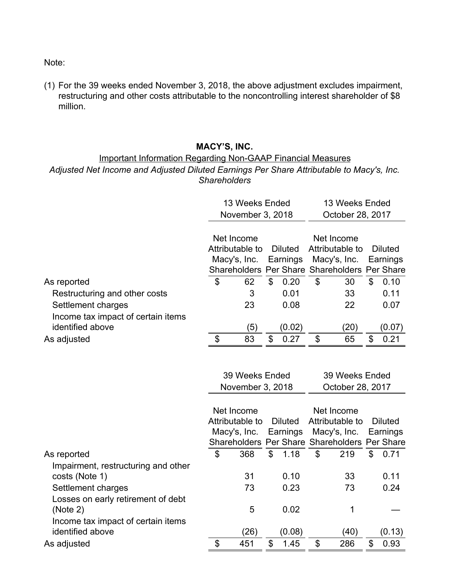Note:

(1) For the 39 weeks ended November 3, 2018, the above adjustment excludes impairment, restructuring and other costs attributable to the noncontrolling interest shareholder of \$8 million.

# **MACY'S, INC.**

# Important Information Regarding Non-GAAP Financial Measures *Adjusted Net Income and Adjusted Diluted Earnings Per Share Attributable to Macy's, Inc. Shareholders*

|                                                        | 13 Weeks Ended                                                |                                                                                                                |    |                                   | 13 Weeks Ended            |            |                |          |  |
|--------------------------------------------------------|---------------------------------------------------------------|----------------------------------------------------------------------------------------------------------------|----|-----------------------------------|---------------------------|------------|----------------|----------|--|
|                                                        | November 3, 2018                                              |                                                                                                                |    |                                   | October 28, 2017          |            |                |          |  |
|                                                        |                                                               | Net Income                                                                                                     |    |                                   |                           | Net Income |                |          |  |
|                                                        | Attributable to<br><b>Diluted</b><br>Macy's, Inc.<br>Earnings |                                                                                                                |    |                                   | Attributable to           |            | <b>Diluted</b> |          |  |
|                                                        |                                                               |                                                                                                                |    |                                   | Macy's, Inc.              |            | Earnings       |          |  |
|                                                        | Shareholders Per Share Shareholders Per Share                 |                                                                                                                |    |                                   |                           |            |                |          |  |
| As reported                                            | $\boldsymbol{\mathsf{S}}$                                     | 62                                                                                                             | \$ | 0.20                              | $\boldsymbol{\mathsf{S}}$ | 30         | \$             | 0.10     |  |
| Restructuring and other costs                          |                                                               | 3                                                                                                              |    | 0.01                              |                           | 33         |                | 0.11     |  |
| Settlement charges                                     |                                                               | 23                                                                                                             |    | 0.08                              |                           | 22         |                | 0.07     |  |
| Income tax impact of certain items                     |                                                               |                                                                                                                |    |                                   |                           |            |                |          |  |
| identified above                                       |                                                               | (5)                                                                                                            |    | (0.02)                            |                           | (20)       |                | (0.07)   |  |
| As adjusted                                            | $\boldsymbol{\mathsf{S}}$                                     | 83                                                                                                             | \$ | 0.27                              | \$                        | 65         | \$             | 0.21     |  |
|                                                        |                                                               |                                                                                                                |    |                                   |                           |            |                |          |  |
|                                                        |                                                               |                                                                                                                |    |                                   |                           |            |                |          |  |
|                                                        | 39 Weeks Ended<br>November 3, 2018                            |                                                                                                                |    | 39 Weeks Ended                    |                           |            |                |          |  |
|                                                        |                                                               |                                                                                                                |    | October 28, 2017                  |                           |            |                |          |  |
|                                                        |                                                               |                                                                                                                |    |                                   |                           |            |                |          |  |
|                                                        | Net Income                                                    |                                                                                                                |    | Net Income                        |                           |            |                |          |  |
|                                                        |                                                               | Attributable to<br><b>Diluted</b><br>Macy's, Inc.<br>Earnings<br>Shareholders Per Share Shareholders Per Share |    | Attributable to<br><b>Diluted</b> |                           |            |                |          |  |
|                                                        |                                                               |                                                                                                                |    |                                   | Macy's, Inc.              |            |                | Earnings |  |
|                                                        |                                                               |                                                                                                                |    |                                   |                           |            |                |          |  |
| As reported                                            | $\mathfrak{S}$                                                | 368                                                                                                            | \$ | 1.18                              | \$                        | 219        | \$             | 0.71     |  |
| Impairment, restructuring and other                    |                                                               |                                                                                                                |    |                                   |                           |            |                |          |  |
| costs (Note 1)                                         |                                                               | 31                                                                                                             |    | 0.10                              |                           | 33         |                | 0.11     |  |
| Settlement charges                                     |                                                               | 73                                                                                                             |    | 0.23                              |                           | 73         |                | 0.24     |  |
| Losses on early retirement of debt                     |                                                               |                                                                                                                |    |                                   |                           |            |                |          |  |
| (Note 2)                                               |                                                               | 5                                                                                                              |    | 0.02                              |                           | 1          |                |          |  |
| Income tax impact of certain items<br>identified above |                                                               |                                                                                                                |    |                                   |                           |            |                |          |  |
|                                                        |                                                               | (26)                                                                                                           |    | (0.08)                            |                           | (40)       |                | (0.13)   |  |
| As adjusted                                            | \$                                                            | 451                                                                                                            | \$ | 1.45                              | \$                        | 286        | \$             | 0.93     |  |